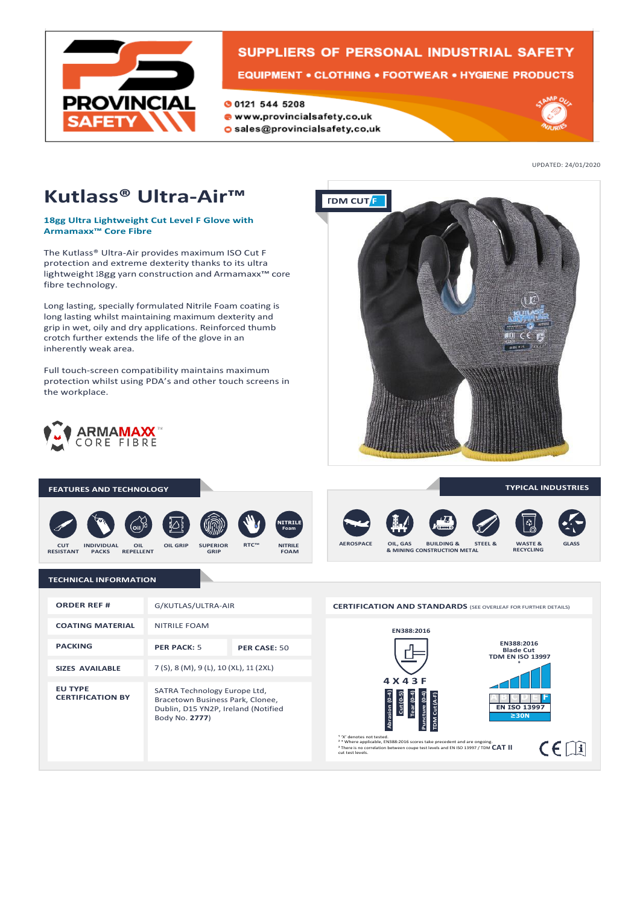

### SUPPLIERS OF PERSONAL INDUSTRIAL SAFETY

**EQUIPMENT • CLOTHING • FOOTWEAR • HYGIENE PRODUCTS** 

**00121 544 5208** 

- www.provincialsafety.co.uk
- O sales@provincialsafety.co.uk



UPDATED: 24/01/2020

**TYPICAL INDUSTRIES**

**WASTE & GLASS** 

భి

## **Kutlass® Ultra-Air™**

**18gg Ultra Lightweight Cut Level F Glove with Armamaxx™ Core Fibre**

The Kutlass® Ultra-Air provides maximum ISO Cut F protection and extreme dexterity thanks to its ultra lightweight 18gg yarn construction and Armamaxx™ core fibre technology.

Long lasting, specially formulated Nitrile Foam coating is long lasting whilst maintaining maximum dexterity and grip in wet, oily and dry applications. Reinforced thumb crotch further extends the life of the glove in an inherently weak area.

Full touch-screen compatibility maintains maximum protection whilst using PDA's and other touch screens in the workplace.





### **FEATURES AND TECHNOLOGY**



#### **TECHNICAL INFORMATION**

| <b>ORDER REF#</b>                         | G/KUTLAS/ULTRA-AIR                                                                                                        |              |
|-------------------------------------------|---------------------------------------------------------------------------------------------------------------------------|--------------|
|                                           |                                                                                                                           |              |
| <b>COATING MATERIAL</b>                   | <b>NITRILE FOAM</b>                                                                                                       |              |
|                                           |                                                                                                                           |              |
| <b>PACKING</b>                            | <b>PER PACK: 5</b>                                                                                                        | PER CASE: 50 |
|                                           |                                                                                                                           |              |
| <b>SIZES AVAILABLE</b>                    | 7 (S), 8 (M), 9 (L), 10 (XL), 11 (2XL)                                                                                    |              |
|                                           |                                                                                                                           |              |
| <b>FU TYPE</b><br><b>CERTIFICATION BY</b> | SATRA Technology Europe Ltd,<br>Bracetown Business Park, Clonee,<br>Dublin, D15 YN2P, Ireland (Notified<br>Body No. 2777) |              |



**& MINING CONSTRUCTION METAL RECYCLING AEROSPACE OIL, GAS BUILDING & STEEL &**